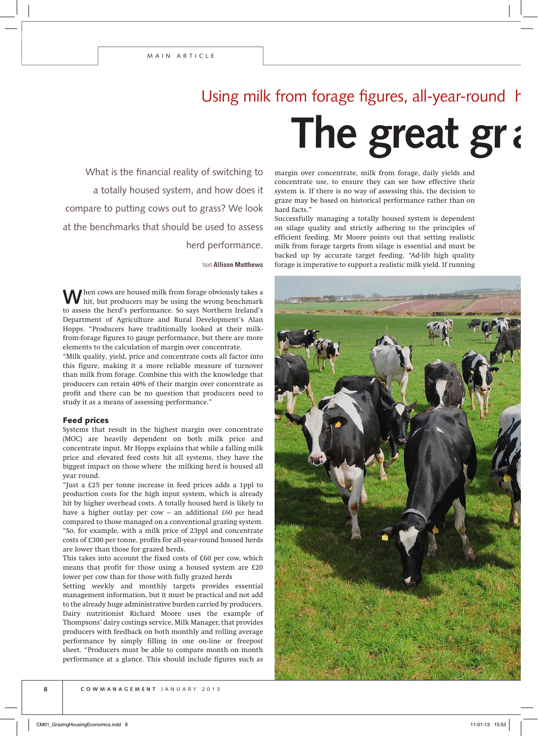## **The great gray** Using milk from forage figures, all-year-round

What is the financial reality of switching to a totally housed system, and how does it compare to putting cows out to grass? We look at the benchmarks that should be used to assess herd performance.

text **Allison Matthews**

When cows are housed milk from forage obviously takes a hit, but producers may be using the wrong benchmark to assess the herd's performance. So says Northern Ireland's Department of Agriculture and Rural Development's Alan Hopps. "Producers have traditionally looked at their milkfrom-forage figures to gauge performance, but there are more elements to the calculation of margin over concentrate.

"Milk quality, yield, price and concentrate costs all factor into this figure, making it a more reliable measure of turnover than milk from forage. Combine this with the knowledge that producers can retain 40% of their margin over concentrate as profit and there can be no question that producers need to study it as a means of assessing performance."

## Feed prices

Systems that result in the highest margin over concentrate (MOC) are heavily dependent on both milk price and concentrate input. Mr Hopps explains that while a falling milk price and elevated feed costs hit all systems, they have the biggest impact on those where the milking herd is housed all year round.

"Just a £25 per tonne increase in feed prices adds a 1ppl to production costs for the high input system, which is already hit by higher overhead costs. A totally housed herd is likely to have a higher outlay per cow – an additional  $£60$  per head compared to those managed on a conventional grazing system. "So, for example, with a milk price of 23ppl and concentrate costs of £300 per tonne, profits for all-year-round housed herds are lower than those for grazed herds.

This takes into account the fixed costs of £60 per cow, which means that profit for those using a housed system are £20 lower per cow than for those with fully grazed herds

Setting weekly and monthly targets provides essential management information, but it must be practical and not add to the already huge administrative burden carried by producers. Dairy nutritionist Richard Moore uses the example of Thompsons' dairy costings service, Milk Manager, that provides producers with feedback on both monthly and rolling average performance by simply filling in one on-line or freepost sheet. "Producers must be able to compare month on month performance at a glance. This should include figures such as

margin over concentrate, milk from forage, daily yields and concentrate use, to ensure they can see how effective their system is. If there is no way of assessing this, the decision to graze may be based on historical performance rather than on hard facts."

Successfully managing a totally housed system is dependent on silage quality and strictly adhering to the principles of efficient feeding. Mr Moore points out that setting realistic milk from forage targets from silage is essential and must be backed up by accurate target feeding. "Ad-lib high quality forage is imperative to support a realistic milk yield. If running